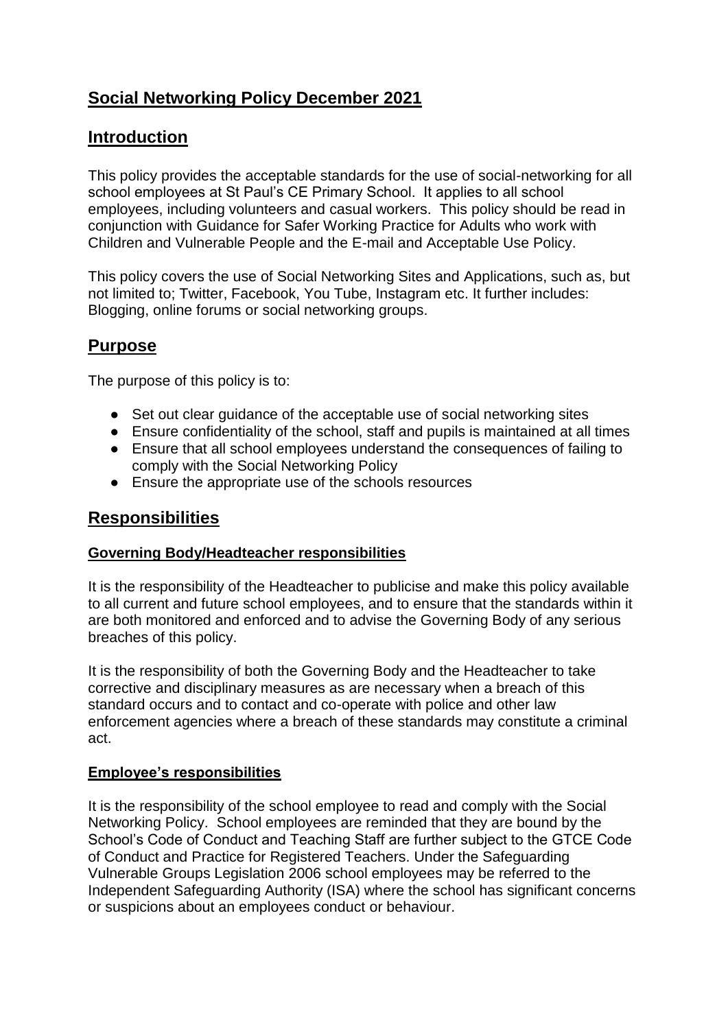# **Social Networking Policy December 2021**

# **Introduction**

This policy provides the acceptable standards for the use of social-networking for all school employees at St Paul's CE Primary School. It applies to all school employees, including volunteers and casual workers. This policy should be read in conjunction with Guidance for Safer Working Practice for Adults who work with Children and Vulnerable People and the E-mail and Acceptable Use Policy.

This policy covers the use of Social Networking Sites and Applications, such as, but not limited to; Twitter, Facebook, You Tube, Instagram etc. It further includes: Blogging, online forums or social networking groups.

# **Purpose**

The purpose of this policy is to:

- Set out clear guidance of the acceptable use of social networking sites
- Ensure confidentiality of the school, staff and pupils is maintained at all times
- Ensure that all school employees understand the consequences of failing to comply with the Social Networking Policy
- Ensure the appropriate use of the schools resources

### **Responsibilities**

#### **Governing Body/Headteacher responsibilities**

It is the responsibility of the Headteacher to publicise and make this policy available to all current and future school employees, and to ensure that the standards within it are both monitored and enforced and to advise the Governing Body of any serious breaches of this policy.

It is the responsibility of both the Governing Body and the Headteacher to take corrective and disciplinary measures as are necessary when a breach of this standard occurs and to contact and co-operate with police and other law enforcement agencies where a breach of these standards may constitute a criminal act.

#### **Employee's responsibilities**

It is the responsibility of the school employee to read and comply with the Social Networking Policy. School employees are reminded that they are bound by the School's Code of Conduct and Teaching Staff are further subject to the GTCE Code of Conduct and Practice for Registered Teachers. Under the Safeguarding Vulnerable Groups Legislation 2006 school employees may be referred to the Independent Safeguarding Authority (ISA) where the school has significant concerns or suspicions about an employees conduct or behaviour.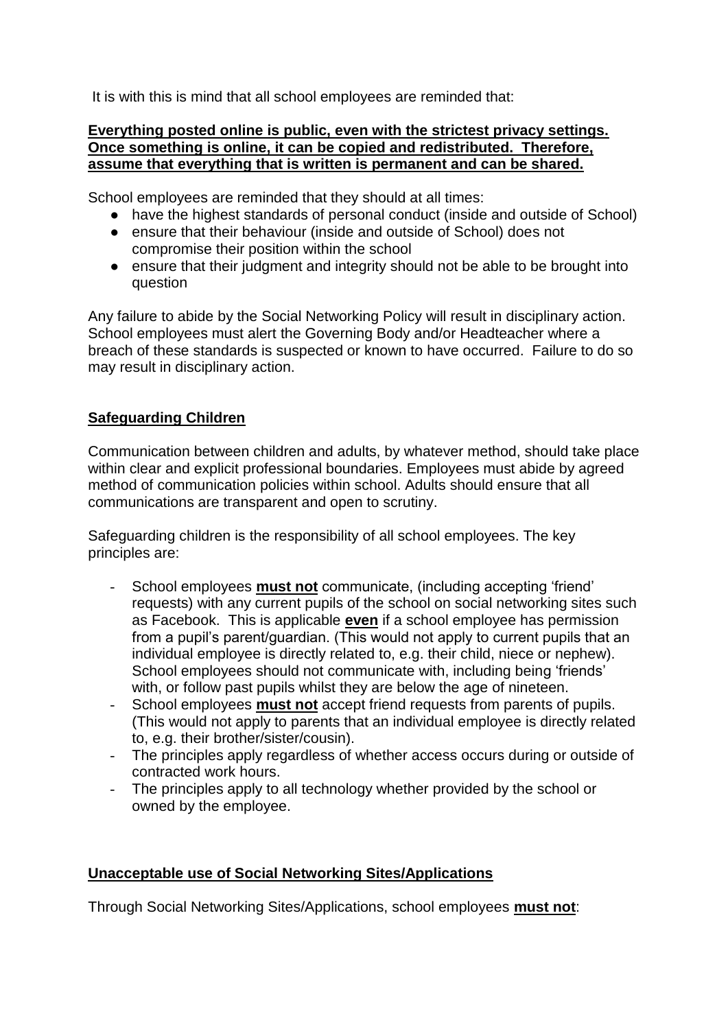It is with this is mind that all school employees are reminded that:

#### **Everything posted online is public, even with the strictest privacy settings. Once something is online, it can be copied and redistributed. Therefore, assume that everything that is written is permanent and can be shared.**

School employees are reminded that they should at all times:

- have the highest standards of personal conduct (inside and outside of School)
- ensure that their behaviour (inside and outside of School) does not compromise their position within the school
- ensure that their judgment and integrity should not be able to be brought into question

Any failure to abide by the Social Networking Policy will result in disciplinary action. School employees must alert the Governing Body and/or Headteacher where a breach of these standards is suspected or known to have occurred. Failure to do so may result in disciplinary action.

### **Safeguarding Children**

Communication between children and adults, by whatever method, should take place within clear and explicit professional boundaries. Employees must abide by agreed method of communication policies within school. Adults should ensure that all communications are transparent and open to scrutiny.

Safeguarding children is the responsibility of all school employees. The key principles are:

- School employees **must not** communicate, (including accepting 'friend' requests) with any current pupils of the school on social networking sites such as Facebook. This is applicable **even** if a school employee has permission from a pupil's parent/guardian. (This would not apply to current pupils that an individual employee is directly related to, e.g. their child, niece or nephew). School employees should not communicate with, including being 'friends' with, or follow past pupils whilst they are below the age of nineteen.
- School employees **must not** accept friend requests from parents of pupils. (This would not apply to parents that an individual employee is directly related to, e.g. their brother/sister/cousin).
- The principles apply regardless of whether access occurs during or outside of contracted work hours.
- The principles apply to all technology whether provided by the school or owned by the employee.

### **Unacceptable use of Social Networking Sites/Applications**

Through Social Networking Sites/Applications, school employees **must not**: